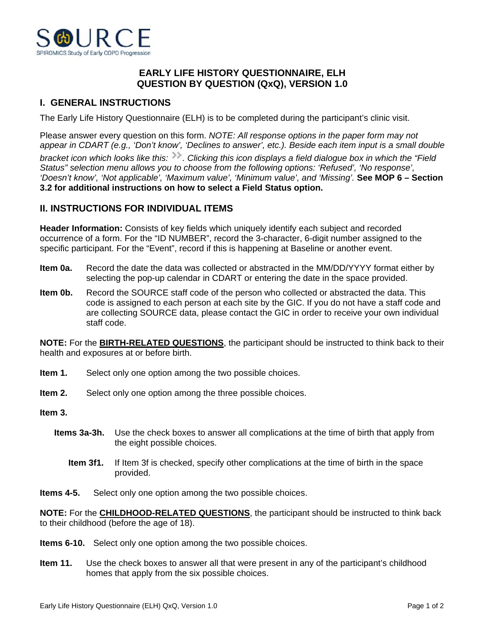

## **EARLY LIFE HISTORY QUESTIONNAIRE, ELH QUESTION BY QUESTION (QxQ), VERSION 1.0**

## **I. GENERAL INSTRUCTIONS**

The Early Life History Questionnaire (ELH) is to be completed during the participant's clinic visit.

Please answer every question on this form. *NOTE: All response options in the paper form may not appear in CDART (e.g., 'Don't know', 'Declines to answer', etc.). Beside each item input is a small double bracket icon which looks like this:*  $\gg$ . Clicking this icon displays a field dialogue box in which the "Field" *Status" selection menu allows you to choose from the following options: 'Refused', 'No response', 'Doesn't know', 'Not applicable', 'Maximum value', 'Minimum value', and 'Missing'.* **See MOP 6 – Section 3.2 for additional instructions on how to select a Field Status option.**

## **II. INSTRUCTIONS FOR INDIVIDUAL ITEMS**

**Header Information:** Consists of key fields which uniquely identify each subject and recorded occurrence of a form. For the "ID NUMBER", record the 3-character, 6-digit number assigned to the specific participant. For the "Event", record if this is happening at Baseline or another event.

- **Item 0a.** Record the date the data was collected or abstracted in the MM/DD/YYYY format either by selecting the pop-up calendar in CDART or entering the date in the space provided.
- **Item 0b.** Record the SOURCE staff code of the person who collected or abstracted the data. This code is assigned to each person at each site by the GIC. If you do not have a staff code and are collecting SOURCE data, please contact the GIC in order to receive your own individual staff code.

**NOTE:** For the **BIRTH-RELATED QUESTIONS**, the participant should be instructed to think back to their health and exposures at or before birth.

- **Item 1.** Select only one option among the two possible choices.
- **Item 2.** Select only one option among the three possible choices.

**Item 3.**

- **Items 3a-3h.** Use the check boxes to answer all complications at the time of birth that apply from the eight possible choices.
	- **Item 3f1.** If Item 3f is checked, specify other complications at the time of birth in the space provided.
- **Items 4-5.** Select only one option among the two possible choices.

**NOTE:** For the **CHILDHOOD-RELATED QUESTIONS**, the participant should be instructed to think back to their childhood (before the age of 18).

**Items 6-10.** Select only one option among the two possible choices.

**Item 11.** Use the check boxes to answer all that were present in any of the participant's childhood homes that apply from the six possible choices.